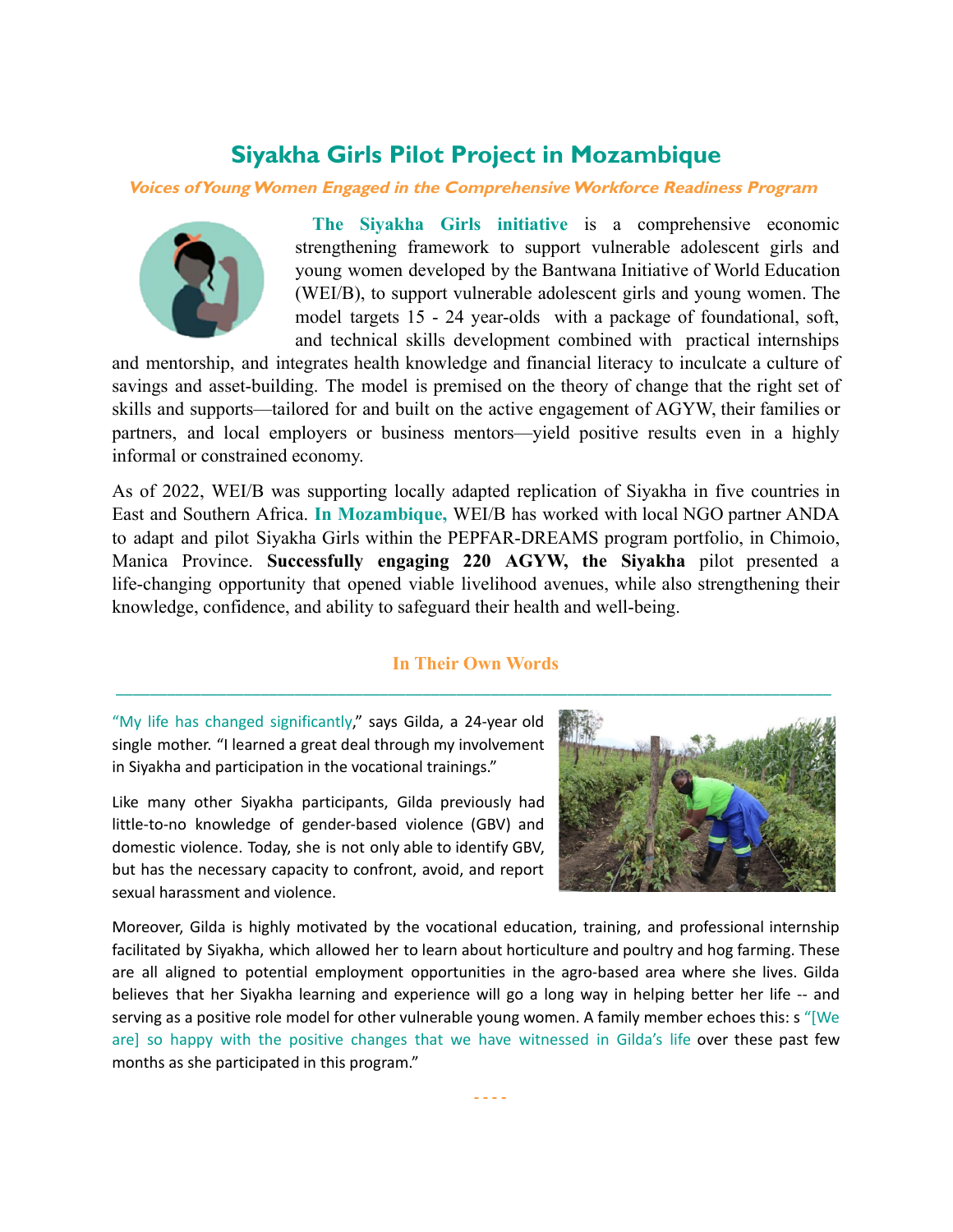## **Siyakha Girls Pilot Project in Mozambique**

**Voices ofYoungWomen Engaged in the ComprehensiveWorkforce Readiness Program**



**The Siyakha Girls initiative** is a comprehensive economic strengthening framework to support vulnerable adolescent girls and young women developed by the Bantwana Initiative of World Education (WEI/B), to support vulnerable adolescent girls and young women. The model targets 15 - 24 year-olds with a package of foundational, soft, and technical skills development combined with practical internships

and mentorship, and integrates health knowledge and financial literacy to inculcate a culture of savings and asset-building. The model is premised on the theory of change that the right set of skills and supports—tailored for and built on the active engagement of AGYW, their families or partners, and local employers or business mentors—yield positive results even in a highly informal or constrained economy.

As of 2022, WEI/B was supporting locally adapted replication of Siyakha in five countries in East and Southern Africa. **In Mozambique,** WEI/B has worked with local NGO partner ANDA to adapt and pilot Siyakha Girls within the PEPFAR-DREAMS program portfolio, in Chimoio, Manica Province. **Successfully engaging 220 AGYW, the Siyakha** pilot presented a life-changing opportunity that opened viable livelihood avenues, while also strengthening their knowledge, confidence, and ability to safeguard their health and well-being.

## **In Their Own Words** \_\_\_\_\_\_\_\_\_\_\_\_\_\_\_\_\_\_\_\_\_\_\_\_\_\_\_\_\_\_\_\_\_\_\_\_\_\_\_\_\_\_\_\_\_\_\_\_\_\_\_\_\_\_\_\_\_\_\_\_\_\_\_\_\_\_\_\_\_\_\_\_\_\_\_\_\_\_\_\_\_\_\_\_

"My life has changed significantly," says Gilda, a 24-year old single mother. "I learned a great deal through my involvement in Siyakha and participation in the vocational trainings."

Like many other Siyakha participants, Gilda previously had little-to-no knowledge of gender-based violence (GBV) and domestic violence. Today, she is not only able to identify GBV, but has the necessary capacity to confront, avoid, and report sexual harassment and violence.



Moreover, Gilda is highly motivated by the vocational education, training, and professional internship facilitated by Siyakha, which allowed her to learn about horticulture and poultry and hog farming. These are all aligned to potential employment opportunities in the agro-based area where she lives. Gilda believes that her Siyakha learning and experience will go a long way in helping better her life -- and serving as a positive role model for other vulnerable young women. A family member echoes this: s "[We are] so happy with the positive changes that we have witnessed in Gilda's life over these past few months as she participated in this program."

**- - - -**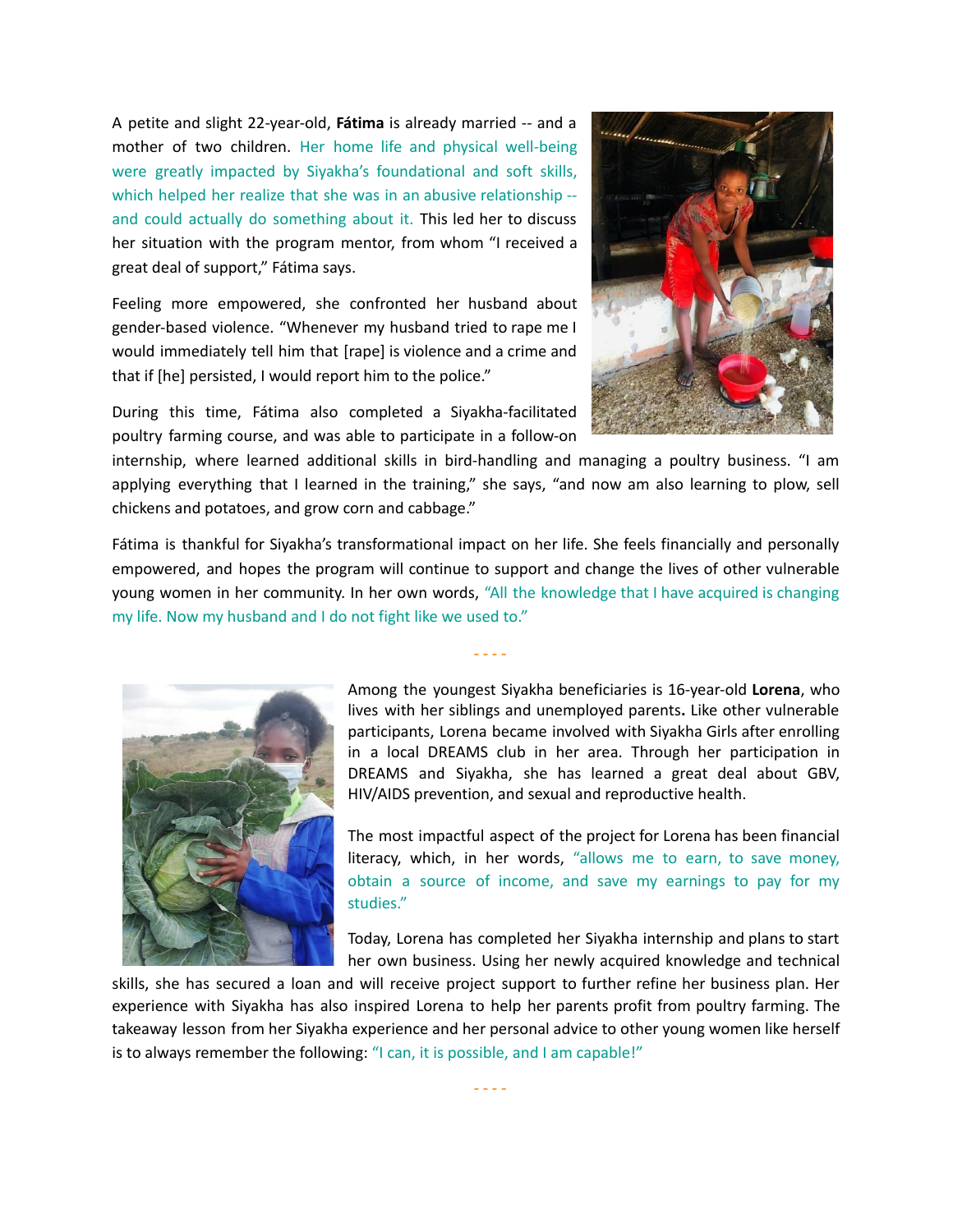A petite and slight 22-year-old, **Fátima** is already married -- and a mother of two children. Her home life and physical well-being were greatly impacted by Siyakha's foundational and soft skills, which helped her realize that she was in an abusive relationship - and could actually do something about it. This led her to discuss her situation with the program mentor, from whom "I received a great deal of support," Fátima says.

Feeling more empowered, she confronted her husband about gender-based violence. "Whenever my husband tried to rape me I would immediately tell him that [rape] is violence and a crime and that if [he] persisted, I would report him to the police."



During this time, Fátima also completed a Siyakha-facilitated poultry farming course, and was able to participate in a follow-on

internship, where learned additional skills in bird-handling and managing a poultry business. "I am applying everything that I learned in the training," she says, "and now am also learning to plow, sell chickens and potatoes, and grow corn and cabbage."

Fátima is thankful for Siyakha's transformational impact on her life. She feels financially and personally empowered, and hopes the program will continue to support and change the lives of other vulnerable young women in her community. In her own words, "All the knowledge that I have acquired is changing my life. Now my husband and I do not fight like we used to."



## **- - - -**

Among the youngest Siyakha beneficiaries is 16-year-old **Lorena**, who lives with her siblings and unemployed parents**.** Like other vulnerable participants, Lorena became involved with Siyakha Girls after enrolling in a local DREAMS club in her area. Through her participation in DREAMS and Siyakha, she has learned a great deal about GBV, HIV/AIDS prevention, and sexual and reproductive health.

The most impactful aspect of the project for Lorena has been financial literacy, which, in her words, "allows me to earn, to save money, obtain a source of income, and save my earnings to pay for my studies."

Today, Lorena has completed her Siyakha internship and plans to start her own business. Using her newly acquired knowledge and technical

skills, she has secured a loan and will receive project support to further refine her business plan. Her experience with Siyakha has also inspired Lorena to help her parents profit from poultry farming. The takeaway lesson from her Siyakha experience and her personal advice to other young women like herself is to always remember the following: "I can, it is possible, and I am capable!"

**- - - -**